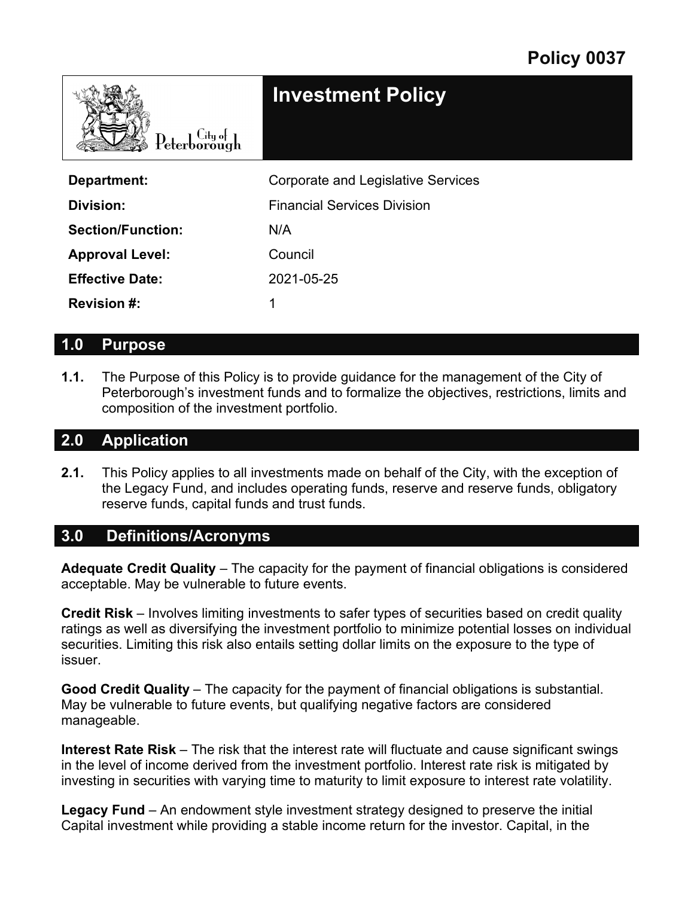| $\text{Peterborough}$    | <b>Investment Policy</b>           |
|--------------------------|------------------------------------|
| Department:              | Corporate and Legislative Services |
| Division:                | <b>Financial Services Division</b> |
| <b>Section/Function:</b> | N/A                                |
| <b>Approval Level:</b>   | Council                            |
| <b>Effective Date:</b>   | 2021-05-25                         |
| <b>Revision #:</b>       |                                    |

#### **1.0 Purpose**

**1.1.** The Purpose of this Policy is to provide guidance for the management of the City of Peterborough's investment funds and to formalize the objectives, restrictions, limits and composition of the investment portfolio.

#### **2.0 Application**

**2.1.** This Policy applies to all investments made on behalf of the City, with the exception of the Legacy Fund, and includes operating funds, reserve and reserve funds, obligatory reserve funds, capital funds and trust funds.

#### **3.0 Definitions/Acronyms**

**Adequate Credit Quality** – The capacity for the payment of financial obligations is considered acceptable. May be vulnerable to future events.

**Credit Risk** – Involves limiting investments to safer types of securities based on credit quality ratings as well as diversifying the investment portfolio to minimize potential losses on individual securities. Limiting this risk also entails setting dollar limits on the exposure to the type of issuer.

**Good Credit Quality** – The capacity for the payment of financial obligations is substantial. May be vulnerable to future events, but qualifying negative factors are considered manageable.

**Interest Rate Risk** – The risk that the interest rate will fluctuate and cause significant swings in the level of income derived from the investment portfolio. Interest rate risk is mitigated by investing in securities with varying time to maturity to limit exposure to interest rate volatility.

**Legacy Fund** – An endowment style investment strategy designed to preserve the initial Capital investment while providing a stable income return for the investor. Capital, in the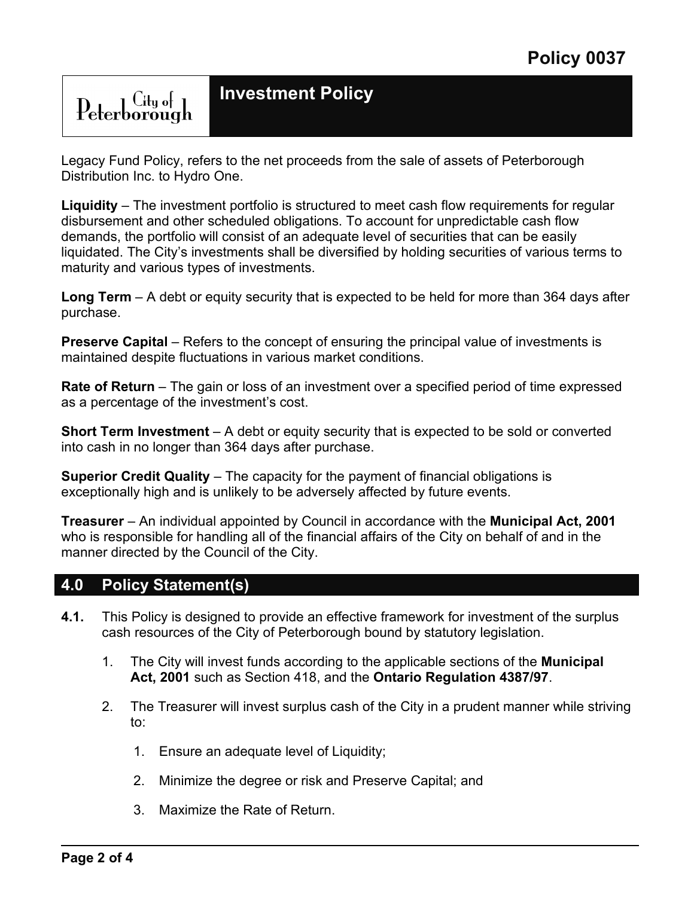### **Investment Policy**

Legacy Fund Policy, refers to the net proceeds from the sale of assets of Peterborough Distribution Inc. to Hydro One.

**Liquidity** – The investment portfolio is structured to meet cash flow requirements for regular disbursement and other scheduled obligations. To account for unpredictable cash flow demands, the portfolio will consist of an adequate level of securities that can be easily liquidated. The City's investments shall be diversified by holding securities of various terms to maturity and various types of investments.

**Long Term** – A debt or equity security that is expected to be held for more than 364 days after purchase.

**Preserve Capital** – Refers to the concept of ensuring the principal value of investments is maintained despite fluctuations in various market conditions.

**Rate of Return** – The gain or loss of an investment over a specified period of time expressed as a percentage of the investment's cost.

**Short Term Investment** – A debt or equity security that is expected to be sold or converted into cash in no longer than 364 days after purchase.

**Superior Credit Quality** – The capacity for the payment of financial obligations is exceptionally high and is unlikely to be adversely affected by future events.

**Treasurer** – An individual appointed by Council in accordance with the **Municipal Act, 2001** who is responsible for handling all of the financial affairs of the City on behalf of and in the manner directed by the Council of the City.

#### **4.0 Policy Statement(s)**

Peterborough

- **4.1.** This Policy is designed to provide an effective framework for investment of the surplus cash resources of the City of Peterborough bound by statutory legislation.
	- 1. The City will invest funds according to the applicable sections of the **Municipal Act, 2001** such as Section 418, and the **Ontario Regulation 4387/97**.
	- 2. The Treasurer will invest surplus cash of the City in a prudent manner while striving to:
		- 1. Ensure an adequate level of Liquidity;
		- 2. Minimize the degree or risk and Preserve Capital; and
		- 3. Maximize the Rate of Return.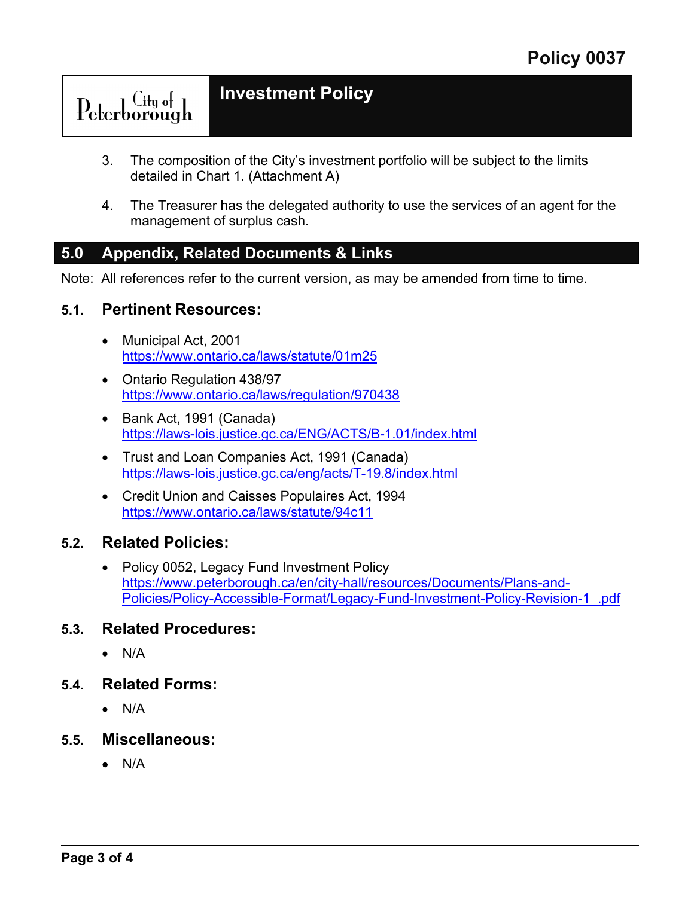# Peterborough

**Investment Policy** 

- 3. The composition of the City's investment portfolio will be subject to the limits detailed in Chart 1. (Attachment A)
- 4. The Treasurer has the delegated authority to use the services of an agent for the management of surplus cash.

#### **5.0 Appendix, Related Documents & Links**

Note: All references refer to the current version, as may be amended from time to time.

#### **5.1. Pertinent Resources:**

- Municipal Act, 2001 <https://www.ontario.ca/laws/statute/01m25>
- Ontario Regulation 438/97 <https://www.ontario.ca/laws/regulation/970438>
- Bank Act, 1991 (Canada) <https://laws-lois.justice.gc.ca/ENG/ACTS/B-1.01/index.html>
- Trust and Loan Companies Act, 1991 (Canada) <https://laws-lois.justice.gc.ca/eng/acts/T-19.8/index.html>
- Credit Union and Caisses Populaires Act, 1994 <https://www.ontario.ca/laws/statute/94c11>

#### **5.2. Related Policies:**

• Policy 0052, Legacy Fund Investment Policy [https://www.peterborough.ca/en/city-hall/resources/Documents/Plans-and-](https://www.peterborough.ca/en/city-hall/resources/Documents/Plans-and-Policies/Policy-Accessible-Format/Legacy-Fund-Investment-Policy-Revision-1_.pdf)[Policies/Policy-Accessible-Format/Legacy-Fund-Investment-Policy-Revision-1\\_.pdf](https://www.peterborough.ca/en/city-hall/resources/Documents/Plans-and-Policies/Policy-Accessible-Format/Legacy-Fund-Investment-Policy-Revision-1_.pdf) 

#### **5.3. Related Procedures:**

- N/A
- **5.4. Related Forms:**
	- N/A
- **5.5. Miscellaneous:**
	- N/A